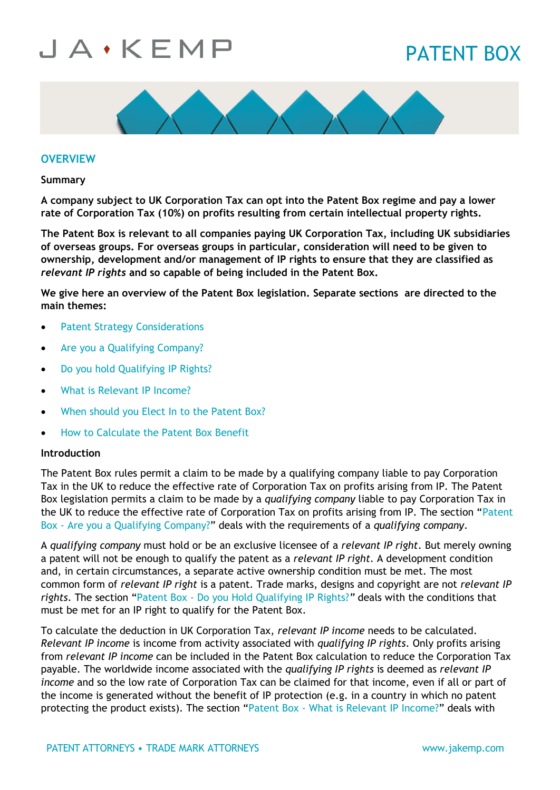## PATENT BOX



### **OVERVIEW**

**Summary**

**A company subject to UK Corporation Tax can opt into the Patent Box regime and pay a lower rate of Corporation Tax (10%) on profits resulting from certain intellectual property rights.**

**The Patent Box is relevant to all companies paying UK Corporation Tax, including UK subsidiaries of overseas groups. For overseas groups in particular, consideration will need to be given to ownership, development and/or management of IP rights to ensure that they are classified as**  *relevant IP rights* **and so capable of being included in the Patent Box.**

**We give here an overview of the Patent Box legislation. Separate sections are directed to the main themes:**

- [Patent Strategy Considerations](https://jakemp.com/en/knowledge-centre/patent-box/patent-strategy-considerations)
- [Are you a Qualifying Company?](https://jakemp.com/en/knowledge-centre/patent-box/are-you-a-qualifying-company)
- [Do you hold Qualifying IP Rights?](https://jakemp.com/en/knowledge-centre/patent-box/do-you-hold-qualifying-ip-right)
- [What is Relevant IP Income?](https://jakemp.com/en/knowledge-centre/patent-box/what-is-relevant-ip-income)
- [When should you Elect In to the Patent Box?](https://jakemp.com/en/knowledge-centre/patent-box/when-should-you-elect-in-to-the-patent-box)
- [How to Calculate the Patent Box Benefit](https://jakemp.com/en/knowledge-centre/patent-box/how-to-calculate-the-patent-box-benefit)

#### **Introduction**

The Patent Box rules permit a claim to be made by a qualifying company liable to pay Corporation Tax in the UK to reduce the effective rate of Corporation Tax on profits arising from IP. The Patent Box legislation permits a claim to be made by a *qualifying company* liable to pay Corporation Tax in the UK to reduce the effective rate of Corporation Tax on profits arising from IP. The section "Patent Box - [Are you a Qualifying Company?](https://jakemp.com/en/knowledge-centre/patent-box/are-you-a-qualifying-company)" deals with the requirements of a *qualifying company*.

A *qualifying company* must hold or be an exclusive licensee of a *relevant IP right*. But merely owning a patent will not be enough to qualify the patent as a *relevant IP right*. A development condition and, in certain circumstances, a separate active ownership condition must be met. The most common form of *relevant IP right* is a patent. Trade marks, designs and copyright are not *relevant IP rights*. The section "Patent Box - [Do you Hold Qualifying IP Rights?](https://jakemp.com/en/knowledge-centre/patent-box/do-you-hold-qualifying-ip-right)*"* deals with the conditions that must be met for an IP right to qualify for the Patent Box.

To calculate the deduction in UK Corporation Tax, *relevant IP income* needs to be calculated. *Relevant IP income* is income from activity associated with *qualifying IP rights*. Only profits arising from *relevant IP income* can be included in the Patent Box calculation to reduce the Corporation Tax payable. The worldwide income associated with the *qualifying IP rights* is deemed as *relevant IP income* and so the low rate of Corporation Tax can be claimed for that income, even if all or part of the income is generated without the benefit of IP protection (e.g. in a country in which no patent protecting the product exists). The section "Patent Box - [What is Relevant IP Income?](https://jakemp.com/en/knowledge-centre/patent-box/what-is-relevant-ip-income)" deals with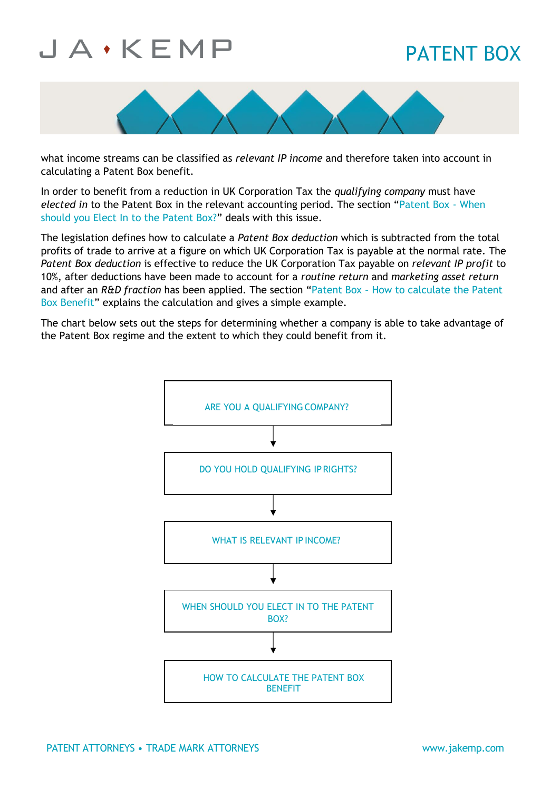## PATENT BOX



what income streams can be classified as *relevant IP income* and therefore taken into account in calculating a Patent Box benefit.

In order to benefit from a reduction in UK Corporation Tax the *qualifying company* must have *elected in* to the Patent Box in the relevant accounting period. The section "[Patent Box -](https://jakemp.com/en/knowledge-centre/patent-box/when-should-you-elect-in-to-the-patent-box) When [should you Elect In to the Patent Box?](https://jakemp.com/en/knowledge-centre/patent-box/when-should-you-elect-in-to-the-patent-box)" deals with this issue.

The legislation defines how to calculate a *Patent Box deduction* which is subtracted from the total profits of trade to arrive at a figure on which UK Corporation Tax is payable at the normal rate. The *Patent Box deduction* is effective to reduce the UK Corporation Tax payable on *relevant IP profit* to 10%, after deductions have been made to account for a *routine return* and *marketing asset return* and after an *R&D fraction* has been applied. The section "Patent Box – [How to calculate the Patent](https://jakemp.com/en/knowledge-centre/patent-box/how-to-calculate-the-patent-box-benefit)  [Box Benefit](https://jakemp.com/en/knowledge-centre/patent-box/how-to-calculate-the-patent-box-benefit)" explains the calculation and gives a simple example.

The chart below sets out the steps for determining whether a company is able to take advantage of the Patent Box regime and the extent to which they could benefit from it.

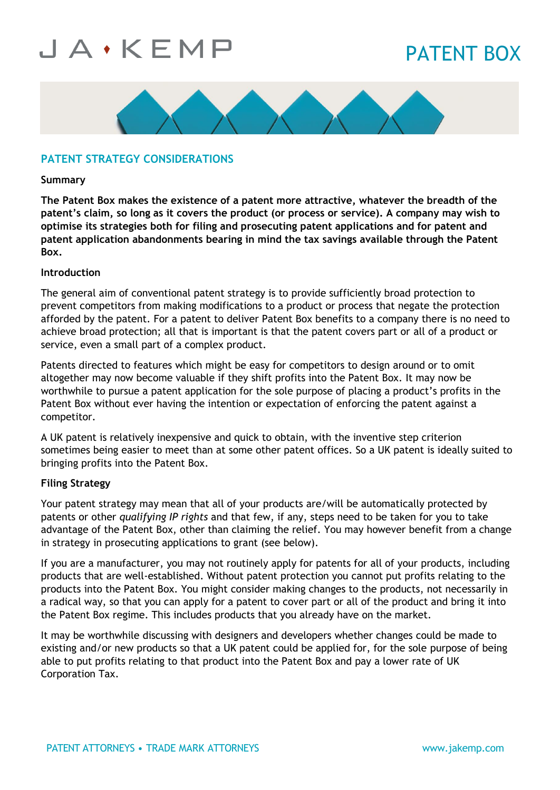## PATENT BOX



### **PATENT STRATEGY CONSIDERATIONS**

#### **Summary**

**The Patent Box makes the existence of a patent more attractive, whatever the breadth of the patent's claim, so long as it covers the product (or process or service). A company may wish to optimise its strategies both for filing and prosecuting patent applications and for patent and patent application abandonments bearing in mind the tax savings available through the Patent Box.**

### **Introduction**

The general aim of conventional patent strategy is to provide sufficiently broad protection to prevent competitors from making modifications to a product or process that negate the protection afforded by the patent. For a patent to deliver Patent Box benefits to a company there is no need to achieve broad protection; all that is important is that the patent covers part or all of a product or service, even a small part of a complex product.

Patents directed to features which might be easy for competitors to design around or to omit altogether may now become valuable if they shift profits into the Patent Box. It may now be worthwhile to pursue a patent application for the sole purpose of placing a product's profits in the Patent Box without ever having the intention or expectation of enforcing the patent against a competitor.

A UK patent is relatively inexpensive and quick to obtain, with the inventive step criterion sometimes being easier to meet than at some other patent offices. So a UK patent is ideally suited to bringing profits into the Patent Box.

### **Filing Strategy**

Your patent strategy may mean that all of your products are/will be automatically protected by patents or other *qualifying IP rights* and that few, if any, steps need to be taken for you to take advantage of the Patent Box, other than claiming the relief. You may however benefit from a change in strategy in prosecuting applications to grant (see below).

If you are a manufacturer, you may not routinely apply for patents for all of your products, including products that are well-established. Without patent protection you cannot put profits relating to the products into the Patent Box. You might consider making changes to the products, not necessarily in a radical way, so that you can apply for a patent to cover part or all of the product and bring it into the Patent Box regime. This includes products that you already have on the market.

It may be worthwhile discussing with designers and developers whether changes could be made to existing and/or new products so that a UK patent could be applied for, for the sole purpose of being able to put profits relating to that product into the Patent Box and pay a lower rate of UK Corporation Tax.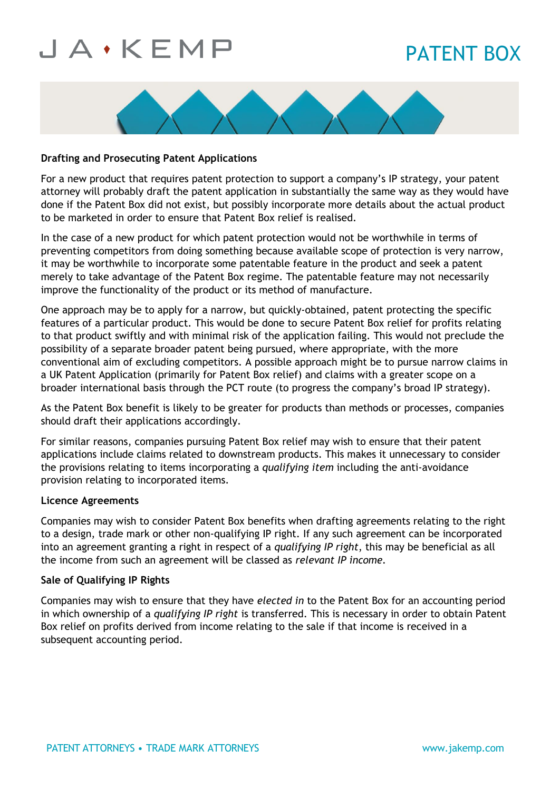# PATENT BOX



### **Drafting and Prosecuting Patent Applications**

For a new product that requires patent protection to support a company's IP strategy, your patent attorney will probably draft the patent application in substantially the same way as they would have done if the Patent Box did not exist, but possibly incorporate more details about the actual product to be marketed in order to ensure that Patent Box relief is realised.

In the case of a new product for which patent protection would not be worthwhile in terms of preventing competitors from doing something because available scope of protection is very narrow, it may be worthwhile to incorporate some patentable feature in the product and seek a patent merely to take advantage of the Patent Box regime. The patentable feature may not necessarily improve the functionality of the product or its method of manufacture.

One approach may be to apply for a narrow, but quickly-obtained, patent protecting the specific features of a particular product. This would be done to secure Patent Box relief for profits relating to that product swiftly and with minimal risk of the application failing. This would not preclude the possibility of a separate broader patent being pursued, where appropriate, with the more conventional aim of excluding competitors. A possible approach might be to pursue narrow claims in a UK Patent Application (primarily for Patent Box relief) and claims with a greater scope on a broader international basis through the PCT route (to progress the company's broad IP strategy).

As the Patent Box benefit is likely to be greater for products than methods or processes, companies should draft their applications accordingly.

For similar reasons, companies pursuing Patent Box relief may wish to ensure that their patent applications include claims related to downstream products. This makes it unnecessary to consider the provisions relating to items incorporating a *qualifying item* including the anti-avoidance provision relating to incorporated items.

#### **Licence Agreements**

Companies may wish to consider Patent Box benefits when drafting agreements relating to the right to a design, trade mark or other non-qualifying IP right. If any such agreement can be incorporated into an agreement granting a right in respect of a *qualifying IP right*, this may be beneficial as all the income from such an agreement will be classed as *relevant IP income.*

### **Sale of Qualifying IP Rights**

Companies may wish to ensure that they have *elected in* to the Patent Box for an accounting period in which ownership of a *qualifying IP right* is transferred. This is necessary in order to obtain Patent Box relief on profits derived from income relating to the sale if that income is received in a subsequent accounting period.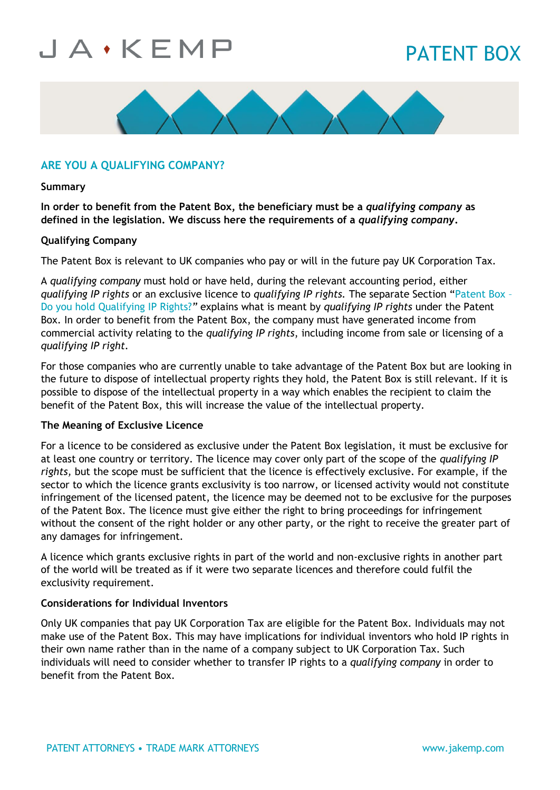# PATENT BOX



### **ARE YOU A QUALIFYING COMPANY?**

#### **Summary**

**In order to benefit from the Patent Box, the beneficiary must be a** *qualifying company* **as defined in the legislation. We discuss here the requirements of a** *qualifying company***.**

#### **Qualifying Company**

The Patent Box is relevant to UK companies who pay or will in the future pay UK Corporation Tax.

A *qualifying company* must hold or have held, during the relevant accounting period, either *qualifying IP rights* or an exclusive licence to *qualifying IP rights.* The separate Section "[Patent Box](https://jakemp.com/en/knowledge-centre/patent-box/do-you-hold-qualifying-ip-right) – [Do you hold Qualifying IP Rights?](https://jakemp.com/en/knowledge-centre/patent-box/do-you-hold-qualifying-ip-right)*"* explains what is meant by *qualifying IP rights* under the Patent Box. In order to benefit from the Patent Box, the company must have generated income from commercial activity relating to the *qualifying IP rights*, including income from sale or licensing of a *qualifying IP right.*

For those companies who are currently unable to take advantage of the Patent Box but are looking in the future to dispose of intellectual property rights they hold, the Patent Box is still relevant. If it is possible to dispose of the intellectual property in a way which enables the recipient to claim the benefit of the Patent Box, this will increase the value of the intellectual property.

#### **The Meaning of Exclusive Licence**

For a licence to be considered as exclusive under the Patent Box legislation, it must be exclusive for at least one country or territory. The licence may cover only part of the scope of the *qualifying IP rights,* but the scope must be sufficient that the licence is effectively exclusive. For example, if the sector to which the licence grants exclusivity is too narrow, or licensed activity would not constitute infringement of the licensed patent, the licence may be deemed not to be exclusive for the purposes of the Patent Box. The licence must give either the right to bring proceedings for infringement without the consent of the right holder or any other party, or the right to receive the greater part of any damages for infringement.

A licence which grants exclusive rights in part of the world and non-exclusive rights in another part of the world will be treated as if it were two separate licences and therefore could fulfil the exclusivity requirement.

#### **Considerations for Individual Inventors**

Only UK companies that pay UK Corporation Tax are eligible for the Patent Box. Individuals may not make use of the Patent Box. This may have implications for individual inventors who hold IP rights in their own name rather than in the name of a company subject to UK Corporation Tax. Such individuals will need to consider whether to transfer IP rights to a *qualifying company* in order to benefit from the Patent Box.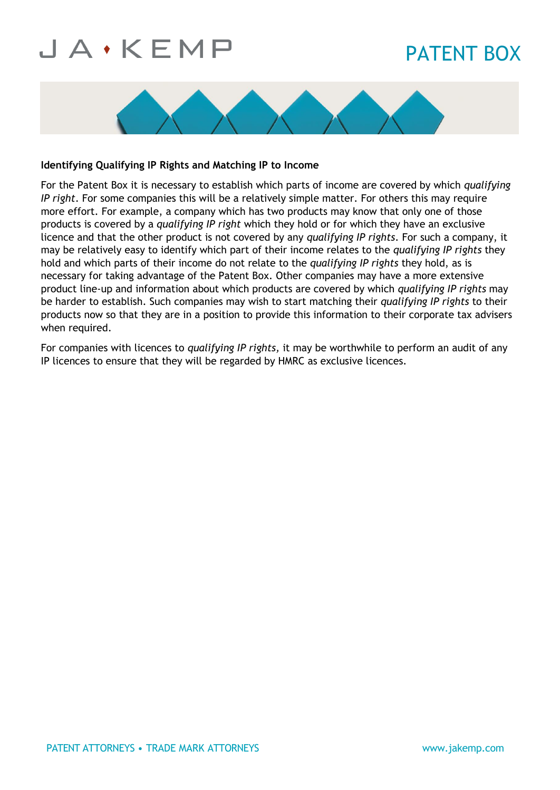# PATENT BOX



### **Identifying Qualifying IP Rights and Matching IP to Income**

For the Patent Box it is necessary to establish which parts of income are covered by which *qualifying IP right*. For some companies this will be a relatively simple matter. For others this may require more effort. For example, a company which has two products may know that only one of those products is covered by a *qualifying IP right* which they hold or for which they have an exclusive licence and that the other product is not covered by any *qualifying IP rights*. For such a company, it may be relatively easy to identify which part of their income relates to the *qualifying IP rights* they hold and which parts of their income do not relate to the *qualifying IP rights* they hold, as is necessary for taking advantage of the Patent Box. Other companies may have a more extensive product line-up and information about which products are covered by which *qualifying IP rights* may be harder to establish. Such companies may wish to start matching their *qualifying IP rights* to their products now so that they are in a position to provide this information to their corporate tax advisers when required.

For companies with licences to *qualifying IP rights,* it may be worthwhile to perform an audit of any IP licences to ensure that they will be regarded by HMRC as exclusive licences.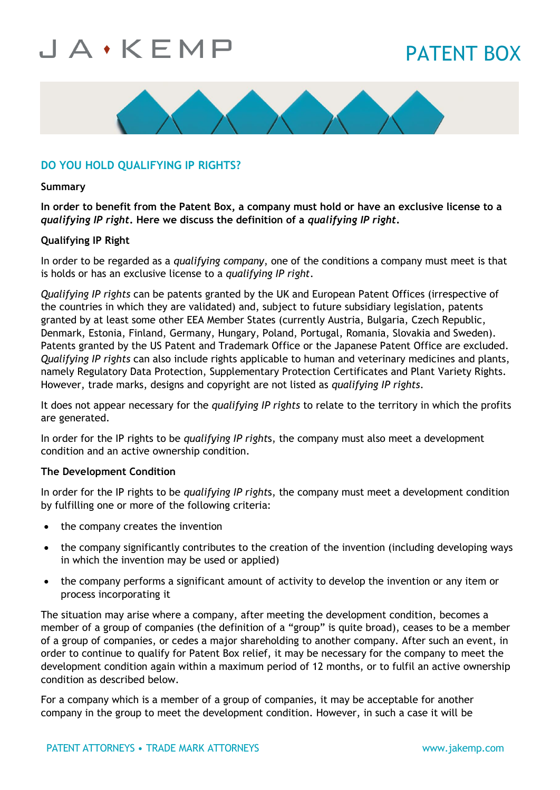# PATENT BOX



### **DO YOU HOLD QUALIFYING IP RIGHTS?**

#### **Summary**

**In order to benefit from the Patent Box, a company must hold or have an exclusive license to a**  *qualifying IP right***. Here we discuss the definition of a** *qualifying IP right***.**

#### **Qualifying IP Right**

In order to be regarded as a *qualifying company*, one of the conditions a company must meet is that is holds or has an exclusive license to a *qualifying IP right*.

*Qualifying IP rights* can be patents granted by the UK and European Patent Offices (irrespective of the countries in which they are validated) and, subject to future subsidiary legislation, patents granted by at least some other EEA Member States (currently Austria, Bulgaria, Czech Republic, Denmark, Estonia, Finland, Germany, Hungary, Poland, Portugal, Romania, Slovakia and Sweden). Patents granted by the US Patent and Trademark Office or the Japanese Patent Office are excluded. *Qualifying IP rights* can also include rights applicable to human and veterinary medicines and plants, namely Regulatory Data Protection, Supplementary Protection Certificates and Plant Variety Rights. However, trade marks, designs and copyright are not listed as *qualifying IP rights*.

It does not appear necessary for the *qualifying IP rights* to relate to the territory in which the profits are generated.

In order for the IP rights to be *qualifying IP right*s, the company must also meet a development condition and an active ownership condition.

#### **The Development Condition**

In order for the IP rights to be *qualifying IP right*s, the company must meet a development condition by fulfilling one or more of the following criteria:

- the company creates the invention
- the company significantly contributes to the creation of the invention (including developing ways in which the invention may be used or applied)
- the company performs a significant amount of activity to develop the invention or any item or process incorporating it

The situation may arise where a company, after meeting the development condition, becomes a member of a group of companies (the definition of a "group" is quite broad), ceases to be a member of a group of companies, or cedes a major shareholding to another company. After such an event, in order to continue to qualify for Patent Box relief, it may be necessary for the company to meet the development condition again within a maximum period of 12 months, or to fulfil an active ownership condition as described below.

For a company which is a member of a group of companies, it may be acceptable for another company in the group to meet the development condition. However, in such a case it will be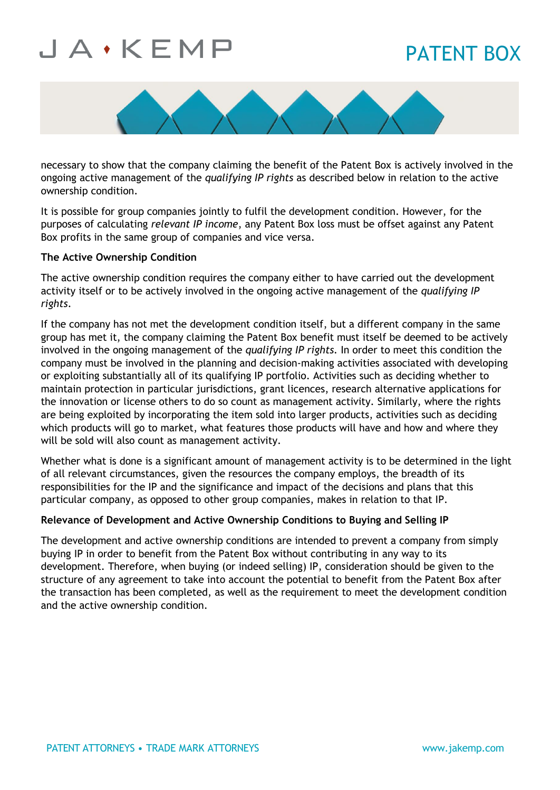## PATENT BOX



necessary to show that the company claiming the benefit of the Patent Box is actively involved in the ongoing active management of the *qualifying IP rights* as described below in relation to the active ownership condition.

It is possible for group companies jointly to fulfil the development condition. However, for the purposes of calculating *relevant IP income*, any Patent Box loss must be offset against any Patent Box profits in the same group of companies and vice versa.

### **The Active Ownership Condition**

The active ownership condition requires the company either to have carried out the development activity itself or to be actively involved in the ongoing active management of the *qualifying IP rights*.

If the company has not met the development condition itself, but a different company in the same group has met it, the company claiming the Patent Box benefit must itself be deemed to be actively involved in the ongoing management of the *qualifying IP rights.* In order to meet this condition the company must be involved in the planning and decision-making activities associated with developing or exploiting substantially all of its qualifying IP portfolio. Activities such as deciding whether to maintain protection in particular jurisdictions, grant licences, research alternative applications for the innovation or license others to do so count as management activity. Similarly, where the rights are being exploited by incorporating the item sold into larger products, activities such as deciding which products will go to market, what features those products will have and how and where they will be sold will also count as management activity.

Whether what is done is a significant amount of management activity is to be determined in the light of all relevant circumstances, given the resources the company employs, the breadth of its responsibilities for the IP and the significance and impact of the decisions and plans that this particular company, as opposed to other group companies, makes in relation to that IP.

#### **Relevance of Development and Active Ownership Conditions to Buying and Selling IP**

The development and active ownership conditions are intended to prevent a company from simply buying IP in order to benefit from the Patent Box without contributing in any way to its development. Therefore, when buying (or indeed selling) IP, consideration should be given to the structure of any agreement to take into account the potential to benefit from the Patent Box after the transaction has been completed, as well as the requirement to meet the development condition and the active ownership condition.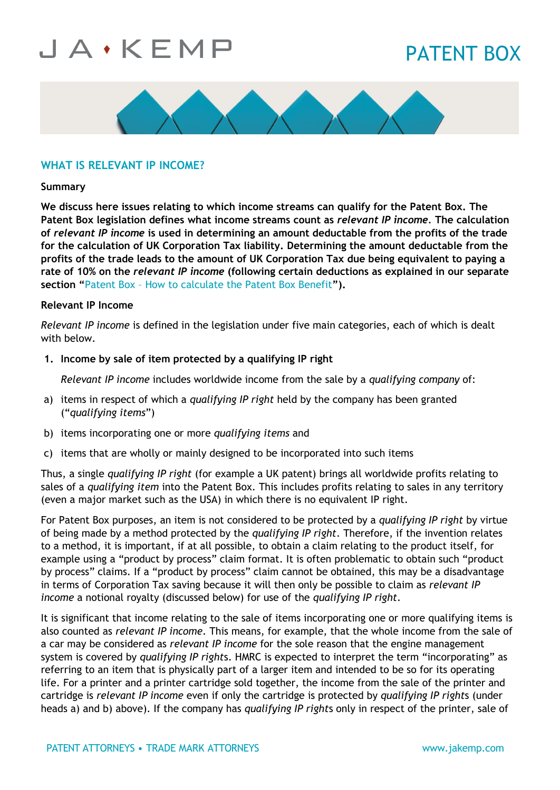## PATENT BOX



### **WHAT IS RELEVANT IP INCOME?**

#### **Summary**

**We discuss here issues relating to which income streams can qualify for the Patent Box. The Patent Box legislation defines what income streams count as** *relevant IP income.* **The calculation of** *relevant IP income* **is used in determining an amount deductable from the profits of the trade for the calculation of UK Corporation Tax liability. Determining the amount deductable from the profits of the trade leads to the amount of UK Corporation Tax due being equivalent to paying a rate of 10% on the** *relevant IP income* **(following certain deductions as explained in our separate section "**Patent Box – [How to calculate the Patent Box Benefit](https://jakemp.com/en/knowledge-centre/patent-box/how-to-calculate-the-patent-box-benefit#how-to-calculate-the-patent-box-benefit)**").**

#### **Relevant IP Income**

*Relevant IP income* is defined in the legislation under five main categories, each of which is dealt with below.

### **1. Income by sale of item protected by a qualifying IP right**

*Relevant IP income* includes worldwide income from the sale by a *qualifying company* of:

- a) items in respect of which a *qualifying IP right* held by the company has been granted ("*qualifying items*")
- b) items incorporating one or more *qualifying items* and
- c) items that are wholly or mainly designed to be incorporated into such items

Thus, a single *qualifying IP right* (for example a UK patent) brings all worldwide profits relating to sales of a *qualifying item* into the Patent Box. This includes profits relating to sales in any territory (even a major market such as the USA) in which there is no equivalent IP right.

For Patent Box purposes, an item is not considered to be protected by a *qualifying IP right* by virtue of being made by a method protected by the *qualifying IP right*. Therefore, if the invention relates to a method, it is important, if at all possible, to obtain a claim relating to the product itself, for example using a "product by process" claim format. It is often problematic to obtain such "product by process" claims. If a "product by process" claim cannot be obtained, this may be a disadvantage in terms of Corporation Tax saving because it will then only be possible to claim as *relevant IP income* a notional royalty (discussed below) for use of the *qualifying IP right*.

It is significant that income relating to the sale of items incorporating one or more qualifying items is also counted as *relevant IP income*. This means, for example, that the whole income from the sale of a car may be considered as *relevant IP income* for the sole reason that the engine management system is covered by *qualifying IP right*s. HMRC is expected to interpret the term "incorporating" as referring to an item that is physically part of a larger item and intended to be so for its operating life. For a printer and a printer cartridge sold together, the income from the sale of the printer and cartridge is *relevant IP income* even if only the cartridge is protected by *qualifying IP right*s (under heads a) and b) above). If the company has *qualifying IP right*s only in respect of the printer, sale of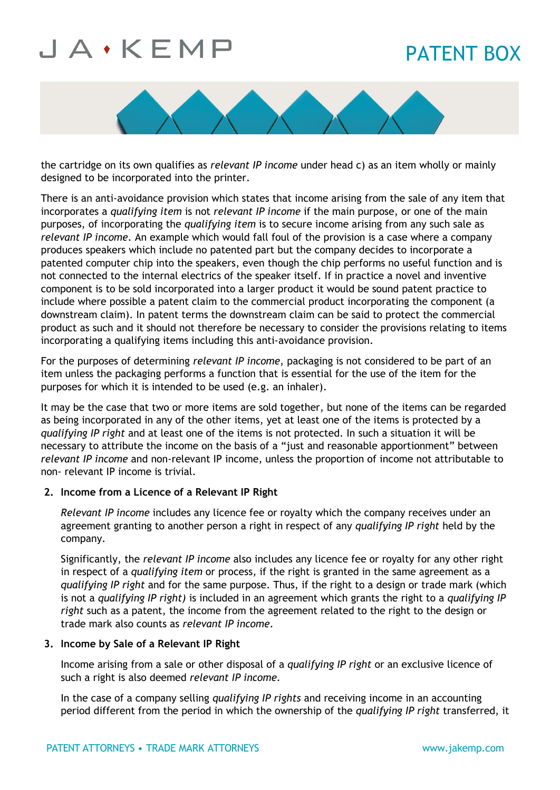# PATENT BOX



the cartridge on its own qualifies as *relevant IP income* under head c) as an item wholly or mainly designed to be incorporated into the printer.

There is an anti-avoidance provision which states that income arising from the sale of any item that incorporates a *qualifying item* is not *relevant IP income* if the main purpose, or one of the main purposes, of incorporating the *qualifying item* is to secure income arising from any such sale as *relevant IP income*. An example which would fall foul of the provision is a case where a company produces speakers which include no patented part but the company decides to incorporate a patented computer chip into the speakers, even though the chip performs no useful function and is not connected to the internal electrics of the speaker itself. If in practice a novel and inventive component is to be sold incorporated into a larger product it would be sound patent practice to include where possible a patent claim to the commercial product incorporating the component (a downstream claim). In patent terms the downstream claim can be said to protect the commercial product as such and it should not therefore be necessary to consider the provisions relating to items incorporating a qualifying items including this anti-avoidance provision.

For the purposes of determining *relevant IP income*, packaging is not considered to be part of an item unless the packaging performs a function that is essential for the use of the item for the purposes for which it is intended to be used (e.g. an inhaler).

It may be the case that two or more items are sold together, but none of the items can be regarded as being incorporated in any of the other items, yet at least one of the items is protected by a *qualifying IP right* and at least one of the items is not protected. In such a situation it will be necessary to attribute the income on the basis of a "just and reasonable apportionment" between *relevant IP income* and non-relevant IP income*,* unless the proportion of income not attributable to non- relevant IP income is trivial.

### **2. Income from a Licence of a Relevant IP Right**

*Relevant IP income* includes any licence fee or royalty which the company receives under an agreement granting to another person a right in respect of any *qualifying IP right* held by the company.

Significantly, the *relevant IP income* also includes any licence fee or royalty for any other right in respect of a *qualifying item* or process*,* if the right is granted in the same agreement as a *qualifying IP right* and for the same purpose. Thus, if the right to a design or trade mark (which is not a *qualifying IP right)* is included in an agreement which grants the right to a *qualifying IP right* such as a patent, the income from the agreement related to the right to the design or trade mark also counts as *relevant IP income*.

### **3. Income by Sale of a Relevant IP Right**

Income arising from a sale or other disposal of a *qualifying IP right* or an exclusive licence of such a right is also deemed *relevant IP income.*

In the case of a company selling *qualifying IP rights* and receiving income in an accounting period different from the period in which the ownership of the *qualifying IP right* transferred, it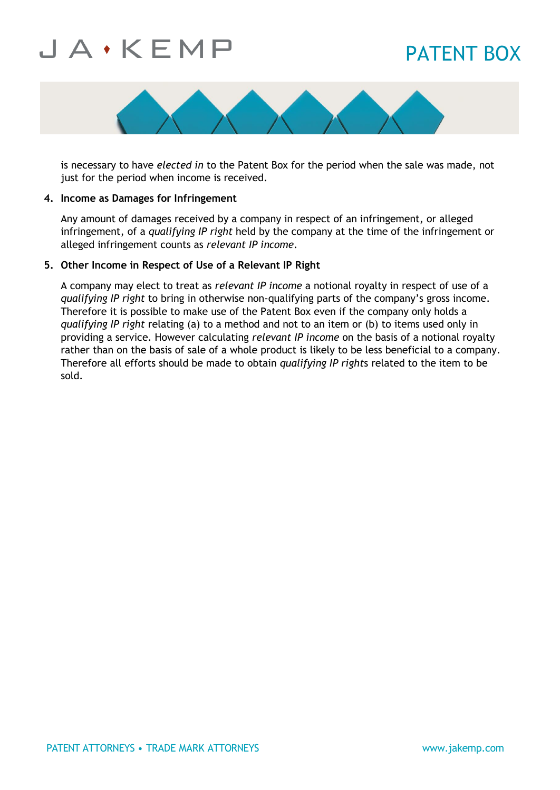## PATENT BOX



is necessary to have *elected in* to the Patent Box for the period when the sale was made, not just for the period when income is received.

#### **4. Income as Damages for Infringement**

Any amount of damages received by a company in respect of an infringement, or alleged infringement, of a *qualifying IP right* held by the company at the time of the infringement or alleged infringement counts as *relevant IP income*.

#### **5. Other Income in Respect of Use of a Relevant IP Right**

A company may elect to treat as *relevant IP income* a notional royalty in respect of use of a *qualifying IP right* to bring in otherwise non-qualifying parts of the company's gross income. Therefore it is possible to make use of the Patent Box even if the company only holds a *qualifying IP right* relating (a) to a method and not to an item or (b) to items used only in providing a service. However calculating *relevant IP income* on the basis of a notional royalty rather than on the basis of sale of a whole product is likely to be less beneficial to a company. Therefore all efforts should be made to obtain *qualifying IP right*s related to the item to be sold.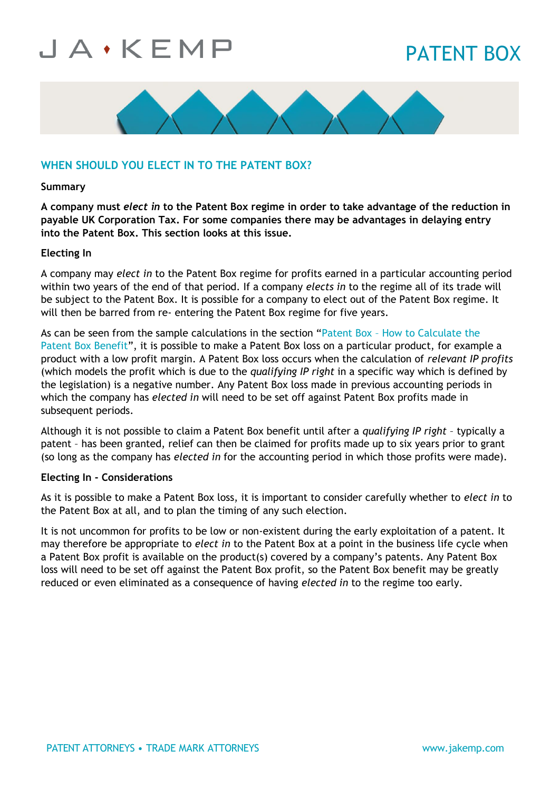# PATENT BOX



### **WHEN SHOULD YOU ELECT IN TO THE PATENT BOX?**

#### **Summary**

**A company must** *elect in* **to the Patent Box regime in order to take advantage of the reduction in payable UK Corporation Tax. For some companies there may be advantages in delaying entry into the Patent Box. This section looks at this issue.**

#### **Electing In**

A company may *elect in* to the Patent Box regime for profits earned in a particular accounting period within two years of the end of that period. If a company *elects in* to the regime all of its trade will be subject to the Patent Box. It is possible for a company to elect out of the Patent Box regime. It will then be barred from re- entering the Patent Box regime for five years.

As can be seen from the sample calculations in the section "Patent Box - How to Calculate the [Patent Box Benefit](https://jakemp.com/en/knowledge-centre/patent-box/how-to-calculate-the-patent-box-benefit)", it is possible to make a Patent Box loss on a particular product, for example a product with a low profit margin. A Patent Box loss occurs when the calculation of *relevant IP profits*  (which models the profit which is due to the *qualifying IP right* in a specific way which is defined by the legislation) is a negative number. Any Patent Box loss made in previous accounting periods in which the company has *elected in* will need to be set off against Patent Box profits made in subsequent periods.

Although it is not possible to claim a Patent Box benefit until after a *qualifying IP right* – typically a patent – has been granted, relief can then be claimed for profits made up to six years prior to grant (so long as the company has *elected in* for the accounting period in which those profits were made).

#### **Electing In - Considerations**

As it is possible to make a Patent Box loss, it is important to consider carefully whether to *elect in* to the Patent Box at all, and to plan the timing of any such election.

It is not uncommon for profits to be low or non-existent during the early exploitation of a patent. It may therefore be appropriate to *elect in* to the Patent Box at a point in the business life cycle when a Patent Box profit is available on the product(s) covered by a company's patents. Any Patent Box loss will need to be set off against the Patent Box profit, so the Patent Box benefit may be greatly reduced or even eliminated as a consequence of having *elected in* to the regime too early.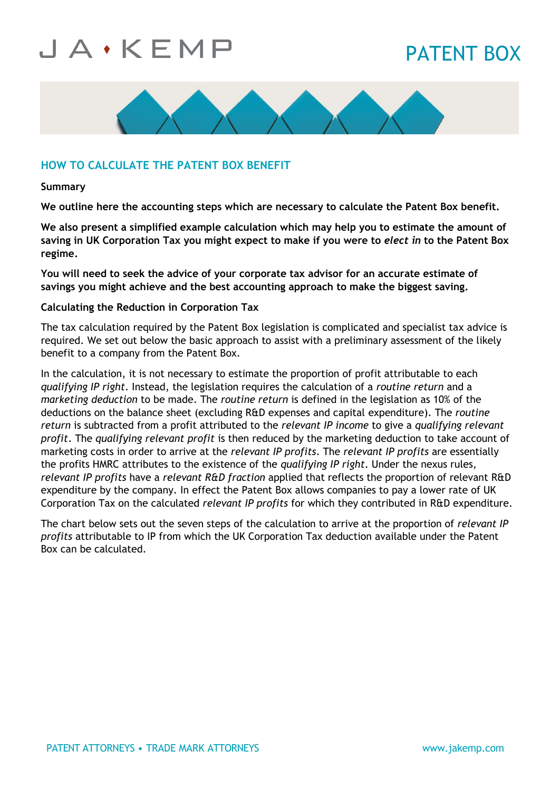# PATENT BOX



### **HOW TO CALCULATE THE PATENT BOX BENEFIT**

#### **Summary**

**We outline here the accounting steps which are necessary to calculate the Patent Box benefit.**

**We also present a simplified example calculation which may help you to estimate the amount of saving in UK Corporation Tax you might expect to make if you were to** *elect in* **to the Patent Box regime.**

**You will need to seek the advice of your corporate tax advisor for an accurate estimate of savings you might achieve and the best accounting approach to make the biggest saving.**

#### **Calculating the Reduction in Corporation Tax**

The tax calculation required by the Patent Box legislation is complicated and specialist tax advice is required. We set out below the basic approach to assist with a preliminary assessment of the likely benefit to a company from the Patent Box.

In the calculation, it is not necessary to estimate the proportion of profit attributable to each *qualifying IP right*. Instead, the legislation requires the calculation of a *routine return* and a *marketing deduction* to be made. The *routine return* is defined in the legislation as 10% of the deductions on the balance sheet (excluding R&D expenses and capital expenditure). The *routine return* is subtracted from a profit attributed to the *relevant IP income* to give a *qualifying relevant profit*. The *qualifying relevant profit* is then reduced by the marketing deduction to take account of marketing costs in order to arrive at the *relevant IP profits*. The *relevant IP profits* are essentially the profits HMRC attributes to the existence of the *qualifying IP right*. Under the nexus rules, *relevant IP profits* have a *relevant R&D fraction* applied that reflects the proportion of relevant R&D expenditure by the company. In effect the Patent Box allows companies to pay a lower rate of UK Corporation Tax on the calculated *relevant IP profits* for which they contributed in R&D expenditure.

The chart below sets out the seven steps of the calculation to arrive at the proportion of *relevant IP profits* attributable to IP from which the UK Corporation Tax deduction available under the Patent Box can be calculated.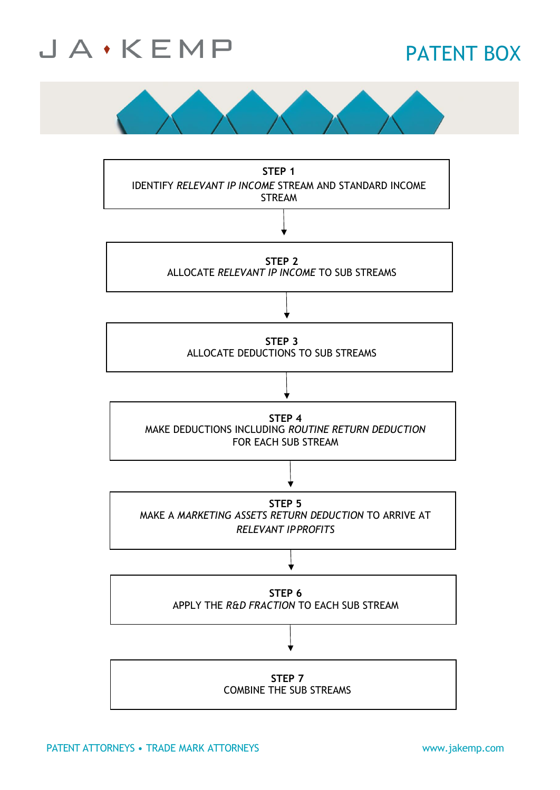

## PATENT BOX



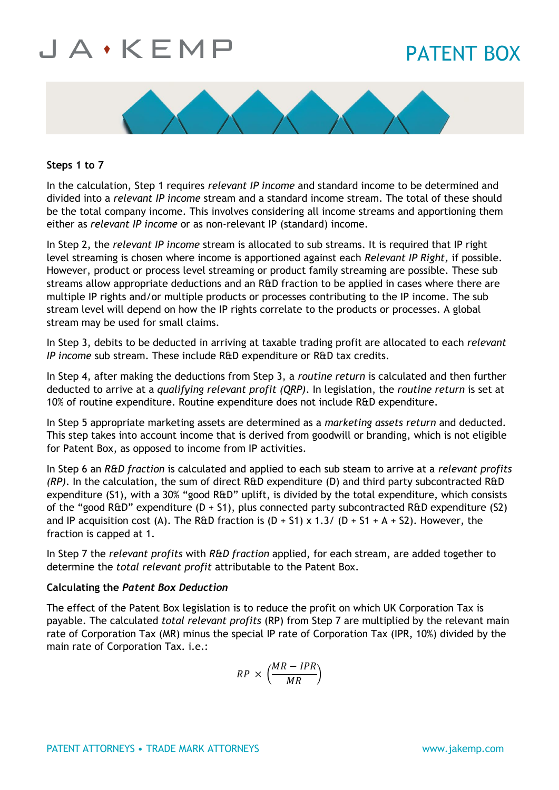## PATENT BOX



### **Steps 1 to 7**

In the calculation, Step 1 requires *relevant IP income* and standard income to be determined and divided into a *relevant IP income* stream and a standard income stream. The total of these should be the total company income. This involves considering all income streams and apportioning them either as *relevant IP income* or as non-relevant IP (standard) income.

In Step 2, the *relevant IP income* stream is allocated to sub streams. It is required that IP right level streaming is chosen where income is apportioned against each *Relevant IP Right,* if possible. However, product or process level streaming or product family streaming are possible. These sub streams allow appropriate deductions and an R&D fraction to be applied in cases where there are multiple IP rights and/or multiple products or processes contributing to the IP income. The sub stream level will depend on how the IP rights correlate to the products or processes. A global stream may be used for small claims.

In Step 3, debits to be deducted in arriving at taxable trading profit are allocated to each *relevant IP income* sub stream. These include R&D expenditure or R&D tax credits.

In Step 4, after making the deductions from Step 3, a *routine return* is calculated and then further deducted to arrive at a *qualifying relevant profit (QRP)*. In legislation, the *routine return* is set at 10% of routine expenditure. Routine expenditure does not include R&D expenditure.

In Step 5 appropriate marketing assets are determined as a *marketing assets return* and deducted. This step takes into account income that is derived from goodwill or branding, which is not eligible for Patent Box, as opposed to income from IP activities.

In Step 6 an *R&D fraction* is calculated and applied to each sub steam to arrive at a *relevant profits (RP)*. In the calculation, the sum of direct R&D expenditure (D) and third party subcontracted R&D expenditure (S1), with a 30% "good R&D" uplift, is divided by the total expenditure, which consists of the "good R&D" expenditure  $(D + S1)$ , plus connected party subcontracted R&D expenditure (S2) and IP acquisition cost (A). The R&D fraction is  $(D + S1) \times 1.3/ (D + S1 + A + S2)$ . However, the fraction is capped at 1.

In Step 7 the *relevant profits* with *R&D fraction* applied, for each stream, are added together to determine the *total relevant profit* attributable to the Patent Box.

### **Calculating the** *Patent Box Deduction*

The effect of the Patent Box legislation is to reduce the profit on which UK Corporation Tax is payable. The calculated *total relevant profits* (RP) from Step 7 are multiplied by the relevant main rate of Corporation Tax (MR) minus the special IP rate of Corporation Tax (IPR, 10%) divided by the main rate of Corporation Tax. i.e.:

$$
RP \times \left(\frac{MR - IPR}{MR}\right)
$$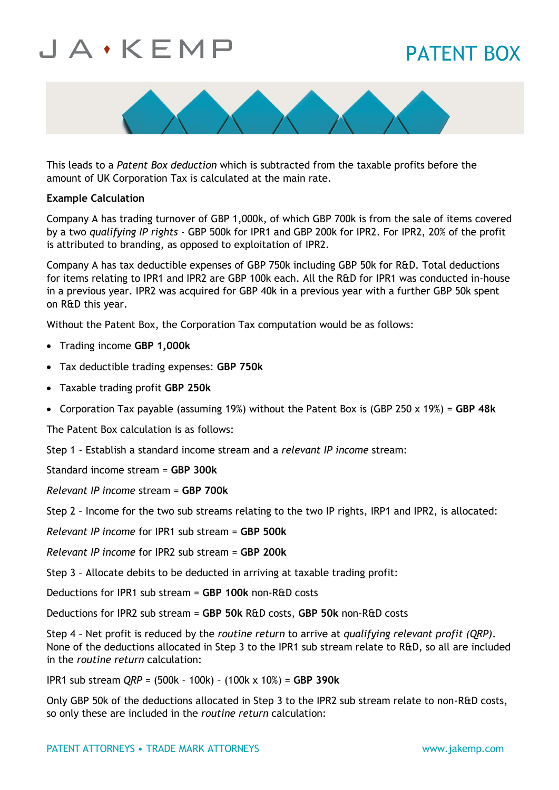## PATENT BOX



This leads to a *Patent Box deduction* which is subtracted from the taxable profits before the amount of UK Corporation Tax is calculated at the main rate.

### **Example Calculation**

Company A has trading turnover of GBP 1,000k, of which GBP 700k is from the sale of items covered by a two *qualifying IP rights* - GBP 500k for IPR1 and GBP 200k for IPR2. For IPR2, 20% of the profit is attributed to branding, as opposed to exploitation of IPR2.

Company A has tax deductible expenses of GBP 750k including GBP 50k for R&D. Total deductions for items relating to IPR1 and IPR2 are GBP 100k each. All the R&D for IPR1 was conducted in-house in a previous year. IPR2 was acquired for GBP 40k in a previous year with a further GBP 50k spent on R&D this year.

Without the Patent Box, the Corporation Tax computation would be as follows:

- Trading income **GBP 1,000k**
- Tax deductible trading expenses: **GBP 750k**
- Taxable trading profit **GBP 250k**
- Corporation Tax payable (assuming 19%) without the Patent Box is (GBP 250 x 19%) = **GBP 48k**

The Patent Box calculation is as follows:

Step 1 - Establish a standard income stream and a *relevant IP income* stream:

Standard income stream = **GBP 300k**

*Relevant IP income* stream = **GBP 700k**

Step 2 – Income for the two sub streams relating to the two IP rights, IRP1 and IPR2, is allocated:

*Relevant IP income* for IPR1 sub stream = **GBP 500k**

*Relevant IP income* for IPR2 sub stream = **GBP 200k**

Step 3 – Allocate debits to be deducted in arriving at taxable trading profit:

Deductions for IPR1 sub stream = **GBP 100k** non-R&D costs

Deductions for IPR2 sub stream = **GBP 50k** R&D costs, **GBP 50k** non-R&D costs

Step 4 – Net profit is reduced by the *routine return* to arrive at *qualifying relevant profit (QRP)*. None of the deductions allocated in Step 3 to the IPR1 sub stream relate to R&D, so all are included in the *routine return* calculation:

IPR1 sub stream *QRP* = (500k – 100k) – (100k x 10%) = **GBP 390k**

Only GBP 50k of the deductions allocated in Step 3 to the IPR2 sub stream relate to non-R&D costs, so only these are included in the *routine return* calculation: